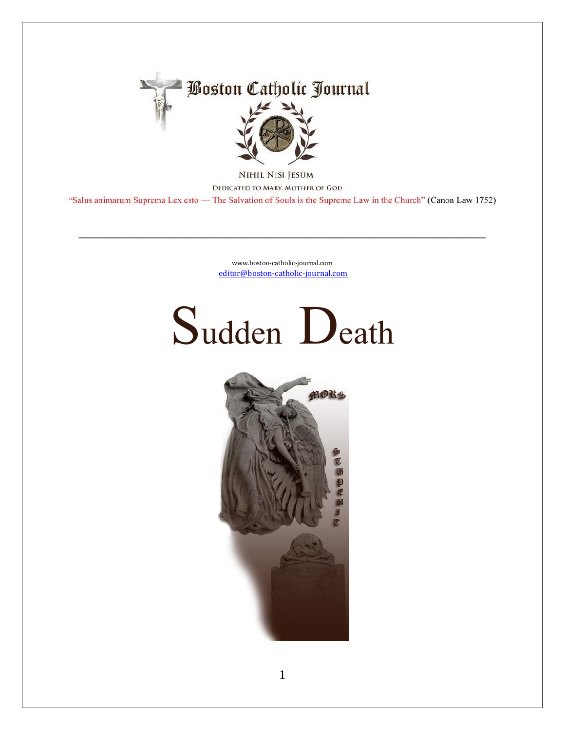

NIHIL NISI JESUM DEDICATED TO MARY, MOTHER OF GOD "Salus animarum Suprema Lex esto - The Salvation of Souls is the Supreme Law in the Church" (Canon Law 1752)

> www.boston-catholic-journal.com editor@boston-catholic-journal.com

## Sudden Death

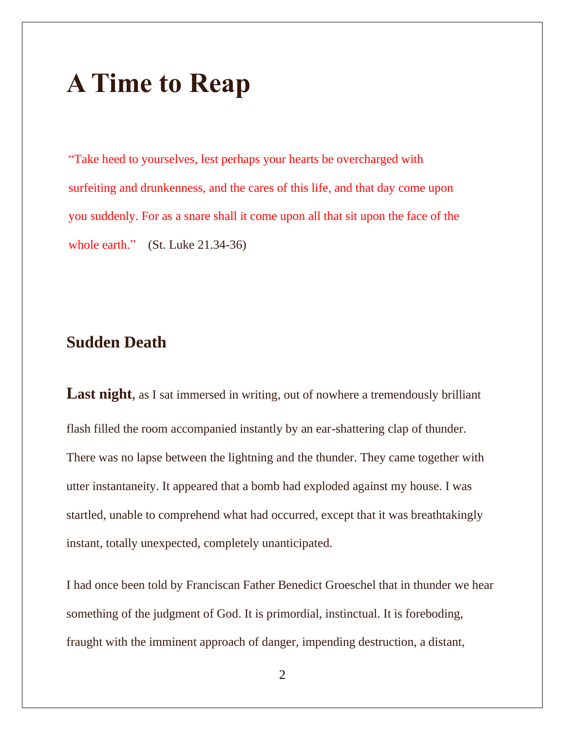## **A Time to Reap**

"Take heed to yourselves, lest perhaps your hearts be overcharged with surfeiting and drunkenness, and the cares of this life, and that day come upon you suddenly. For as a snare shall it come upon all that sit upon the face of the whole earth." (St. Luke 21.34-36)

## **Sudden Death**

Last night, as I sat immersed in writing, out of nowhere a tremendously brilliant flash filled the room accompanied instantly by an ear-shattering clap of thunder. There was no lapse between the lightning and the thunder. They came together with utter instantaneity. It appeared that a bomb had exploded against my house. I was startled, unable to comprehend what had occurred, except that it was breathtakingly instant, totally unexpected, completely unanticipated.

I had once been told by Franciscan Father Benedict Groeschel that in thunder we hear something of the judgment of God. It is primordial, instinctual. It is foreboding, fraught with the imminent approach of danger, impending destruction, a distant,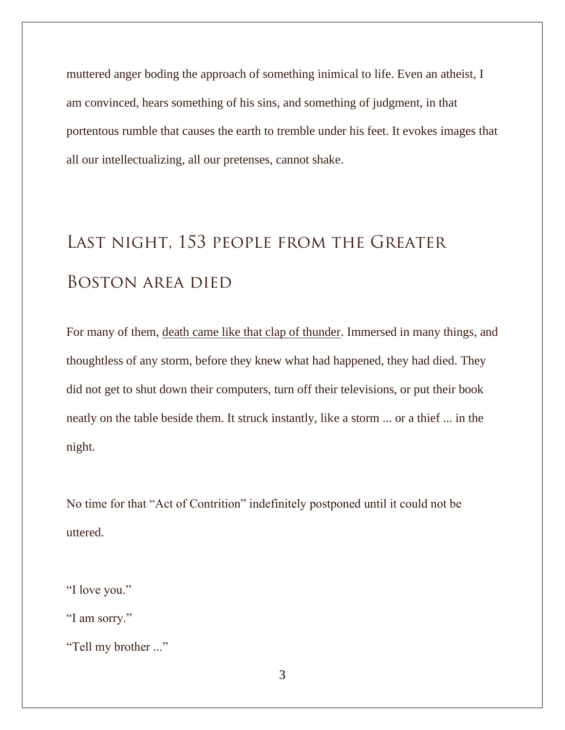muttered anger boding the approach of something inimical to life. Even an atheist, I am convinced, hears something of his sins, and something of judgment, in that portentous rumble that causes the earth to tremble under his feet. It evokes images that all our intellectualizing, all our pretenses, cannot shake.

## **Last night, 153 people from the Greater Boston area died**

For many of them, death came like that clap of thunder. Immersed in many things, and thoughtless of any storm, before they knew what had happened, they had died. They did not get to shut down their computers, turn off their televisions, or put their book neatly on the table beside them. It struck instantly, like a storm ... or a thief ... in the night.

No time for that "Act of Contrition" indefinitely postponed until it could not be uttered.

"I love you."

"I am sorry."

"Tell my brother ..."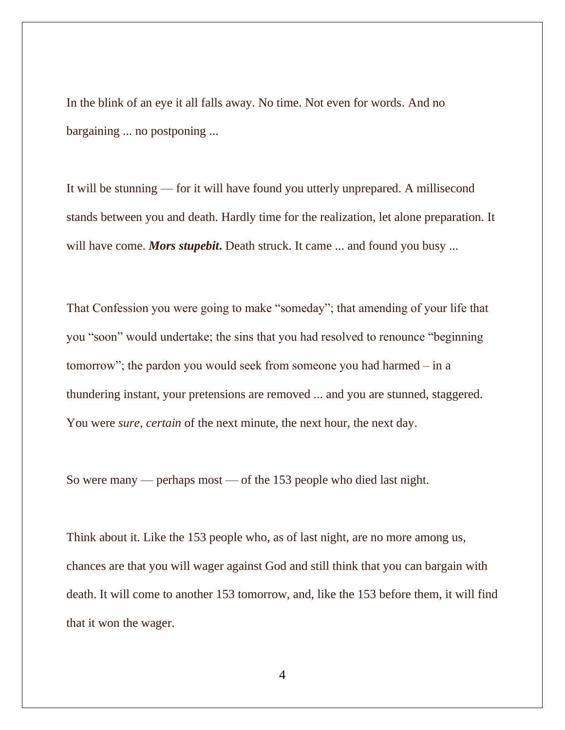In the blink of an eye it all falls away. No time. Not even for words. And no bargaining ... no postponing ...

It will be stunning — for it will have found you utterly unprepared. A millisecond stands between you and death. Hardly time for the realization, let alone preparation. It will have come. *Mors stupebit*. Death struck. It came ... and found you busy ...

That Confession you were going to make "someday"; that amending of your life that you "soon" would undertake; the sins that you had resolved to renounce "beginning tomorrow"; the pardon you would seek from someone you had harmed – in a thundering instant, your pretensions are removed ... and you are stunned, staggered. You were *sure*, *certain* of the next minute, the next hour, the next day.

So were many — perhaps most — of the 153 people who died last night.

Think about it. Like the 153 people who, as of last night, are no more among us, chances are that you will wager against God and still think that you can bargain with death. It will come to another 153 tomorrow, and, like the 153 before them, it will find that it won the wager.